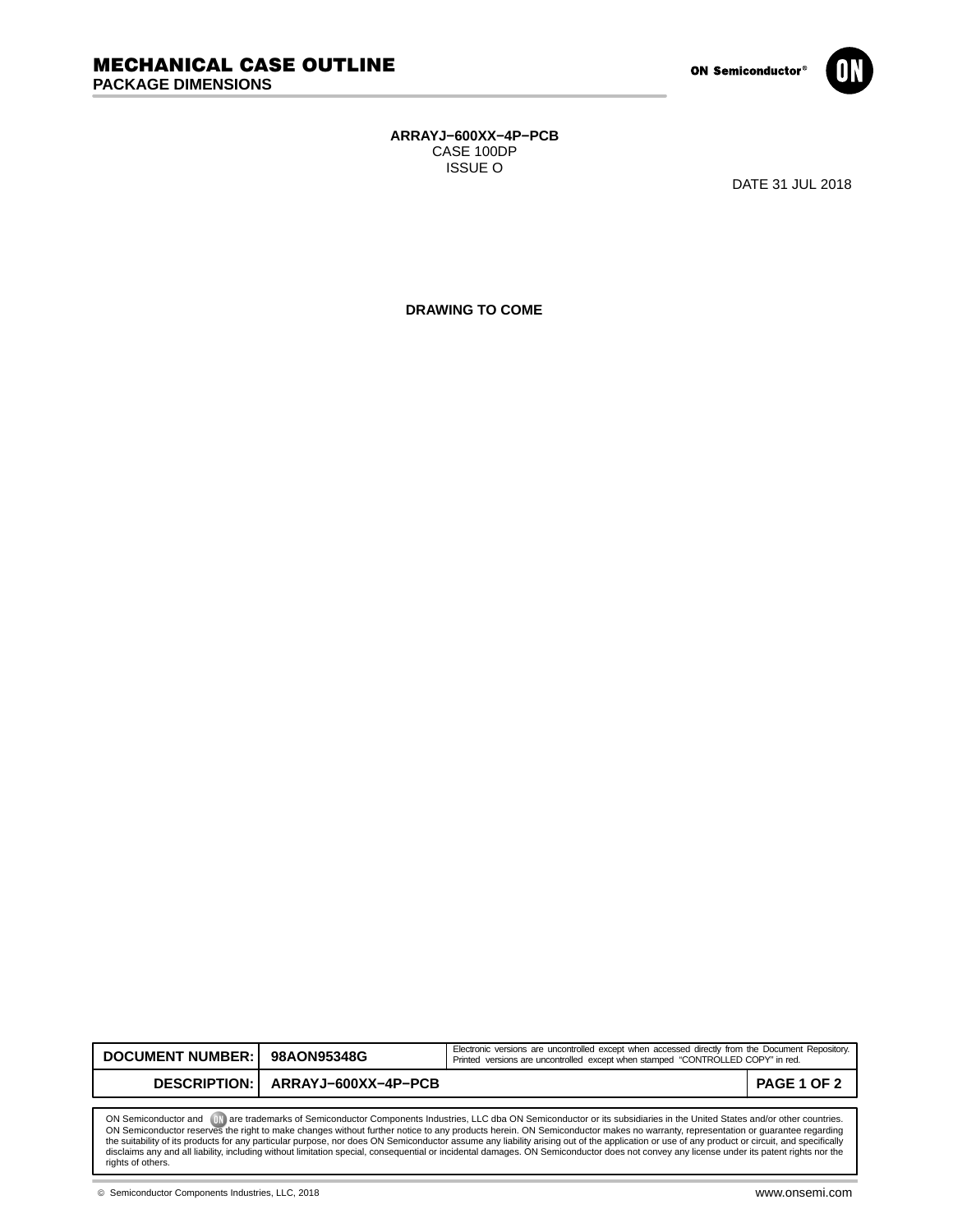

## **ARRAYJ−600XX−4P−PCB** CASE 100DP ISSUE O

DATE 31 JUL 2018

**DRAWING TO COME**

| <b>DOCUMENT NUMBER: I</b>                                                                                                                                                          | 98AON95348G                        | Electronic versions are uncontrolled except when accessed directly from the Document Repository.<br>Printed versions are uncontrolled except when stamped "CONTROLLED COPY" in red. |             |
|------------------------------------------------------------------------------------------------------------------------------------------------------------------------------------|------------------------------------|-------------------------------------------------------------------------------------------------------------------------------------------------------------------------------------|-------------|
|                                                                                                                                                                                    | DESCRIPTION:   ARRAYJ-600XX-4P-PCB |                                                                                                                                                                                     | PAGE 1 OF 2 |
|                                                                                                                                                                                    |                                    |                                                                                                                                                                                     |             |
| <b>ID</b> are trademarks of Semiconductor Components Industries, LLC dba ON Semiconductor or its subsidiaries in the United States and/or other countries.<br>ON Semiconductor and |                                    |                                                                                                                                                                                     |             |

ON Semiconductor and (Will are trademarks of Semiconductor Components Industries, LLC dba ON Semiconductor or its subsidiaries in the United States and/or other countries.<br>ON Semiconductor reserves the right to make change